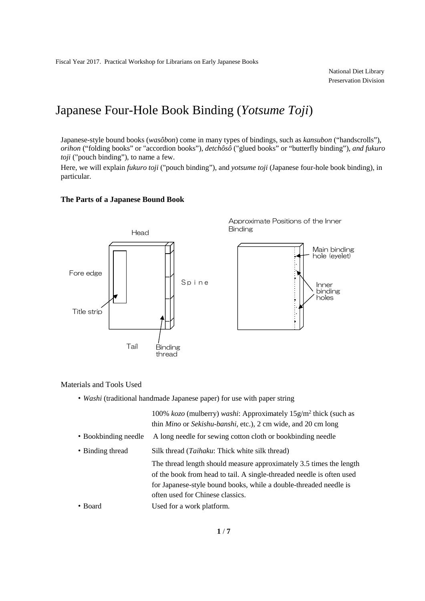National Diet Library Preservation Division

# Japanese Four-Hole Book Binding (*Yotsume Toji*)

Japanese-style bound books (*wasôbon*) come in many types of bindings, such as *kansubon* ("handscrolls"), *orihon* ("folding books" or "accordion books"), *detchôsô* ("glued books" or "butterfly binding"), *and fukuro toji* ("pouch binding"), to name a few.

Here, we will explain *fukuro toji* ("pouch binding"), and *yotsume toji* (Japanese four-hole book binding), in particular.

### **The Parts of a Japanese Bound Book**



Approximate Positions of the Inner Binding



Materials and Tools Used

・*Washi* (traditional handmade Japanese paper) for use with paper string

|                      | 100% kozo (mulberry) washi: Approximately $15g/m^2$ thick (such as<br>thin <i>Mino</i> or <i>Sekishu-banshi</i> , etc.), 2 cm wide, and 20 cm long                                                                                                    |
|----------------------|-------------------------------------------------------------------------------------------------------------------------------------------------------------------------------------------------------------------------------------------------------|
| • Bookbinding needle | A long needle for sewing cotton cloth or bookbinding needle                                                                                                                                                                                           |
| • Binding thread     | Silk thread ( <i>Taihaku</i> : Thick white silk thread)                                                                                                                                                                                               |
|                      | The thread length should measure approximately 3.5 times the length<br>of the book from head to tail. A single-threaded needle is often used<br>for Japanese-style bound books, while a double-threaded needle is<br>often used for Chinese classics. |
| • Board              | Used for a work platform.                                                                                                                                                                                                                             |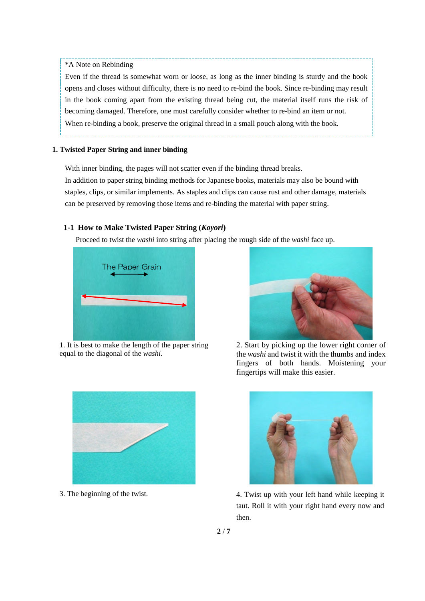#### \*A Note on Rebinding

Even if the thread is somewhat worn or loose, as long as the inner binding is sturdy and the book opens and closes without difficulty, there is no need to re-bind the book. Since re-binding may result in the book coming apart from the existing thread being cut, the material itself runs the risk of becoming damaged. Therefore, one must carefully consider whether to re-bind an item or not. When re-binding a book, preserve the original thread in a small pouch along with the book.

#### **1. Twisted Paper String and inner binding**

With inner binding, the pages will not scatter even if the binding thread breaks.

In addition to paper string binding methods for Japanese books, materials may also be bound with staples, clips, or similar implements. As staples and clips can cause rust and other damage, materials can be preserved by removing those items and re-binding the material with paper string.

#### **1-1 How to Make Twisted Paper String (***Koyori***)**

Proceed to twist the *washi* into string after placing the rough side of the *washi* face up.



1. It is best to make the length of the paper string equal to the diagonal of the *washi.* 



2. Start by picking up the lower right corner of the *washi* and twist it with the thumbs and index fingers of both hands. Moistening your fingertips will make this easier.





3. The beginning of the twist. 4. Twist up with your left hand while keeping it taut. Roll it with your right hand every now and then.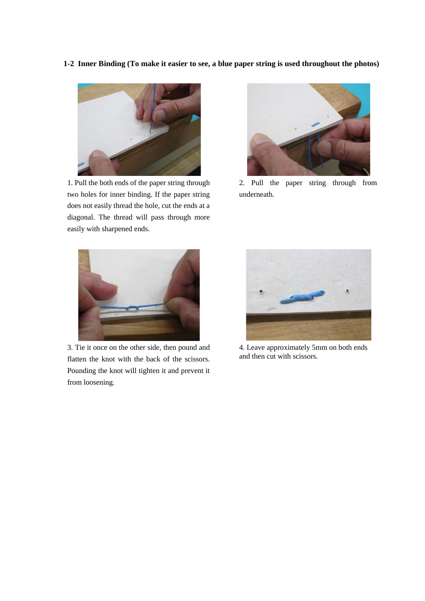**1-2 Inner Binding (To make it easier to see, a blue paper string is used throughout the photos)** 



1. Pull the both ends of the paper string through two holes for inner binding. If the paper string does not easily thread the hole, cut the ends at a diagonal. The thread will pass through more easily with sharpened ends.



2. Pull the paper string through from underneath.



3. Tie it once on the other side, then pound and flatten the knot with the back of the scissors. Pounding the knot will tighten it and prevent it from loosening.



4. Leave approximately 5mm on both ends and then cut with scissors.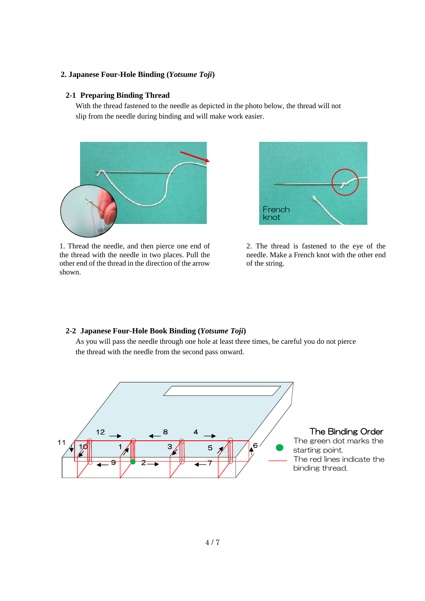### **2. Japanese Four-Hole Binding (***Yotsume Toji***)**

#### **2-1 Preparing Binding Thread**

With the thread fastened to the needle as depicted in the photo below, the thread will not slip from the needle during binding and will make work easier.



1. Thread the needle, and then pierce one end of the thread with the needle in two places. Pull the other end of the thread in the direction of the arrow shown.



2. The thread is fastened to the eye of the needle. Make a French knot with the other end of the string.

## **2-2 Japanese Four-Hole Book Binding (***Yotsume Toji***)**

As you will pass the needle through one hole at least three times, be careful you do not pierce the thread with the needle from the second pass onward.

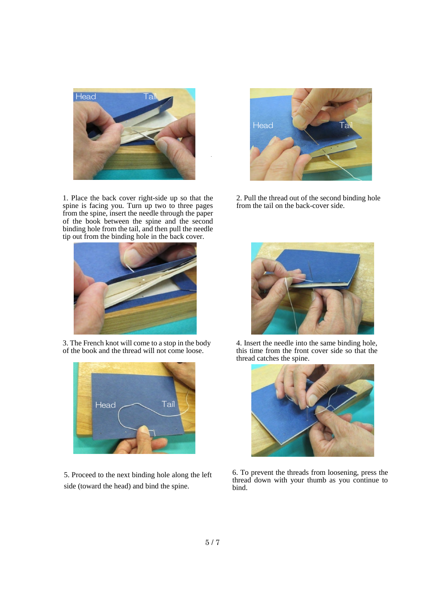

1. Place the back cover right-side up so that the spine is facing you. Turn up two to three pages from the spine, insert the needle through the paper of the book between the spine and the second binding hole from the tail, and then pull the needle tip out from the binding hole in the back cover.



3. The French knot will come to a stop in the body of the book and the thread will not come loose.



5. Proceed to the next binding hole along the left side (toward the head) and bind the spine.



2. Pull the thread out of the second binding hole from the tail on the back-cover side.



4. Insert the needle into the same binding hole, this time from the front cover side so that the thread catches the spine.



6. To prevent the threads from loosening, press the thread down with your thumb as you continue to bind.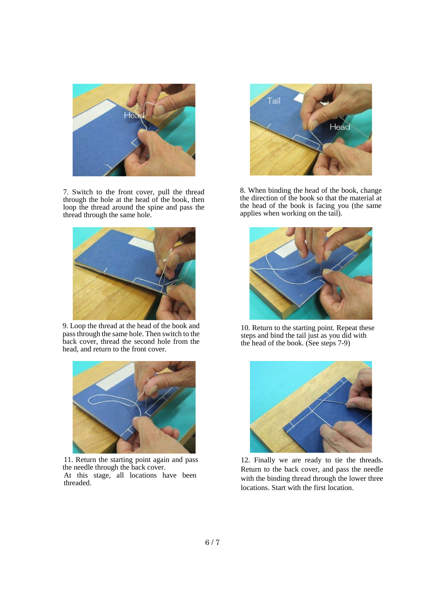

7. Switch to the front cover, pull the thread through the hole at the head of the book, then loop the thread around the spine and pass the thread through the same hole.



9. Loop the thread at the head of the book and pass through the same hole. Then switch to the back cover, thread the second hole from the head, and return to the front cover.



11. Return the starting point again and pass the needle through the back cover. At this stage, all locations have been threaded.



8. When binding the head of the book, change the direction of the book so that the material at the head of the book is facing you (the same applies when working on the tail).



10. Return to the starting point. Repeat these steps and bind the tail just as you did with the head of the book. (See steps 7-9)



12. Finally we are ready to tie the threads. Return to the back cover, and pass the needle with the binding thread through the lower three locations. Start with the first location.